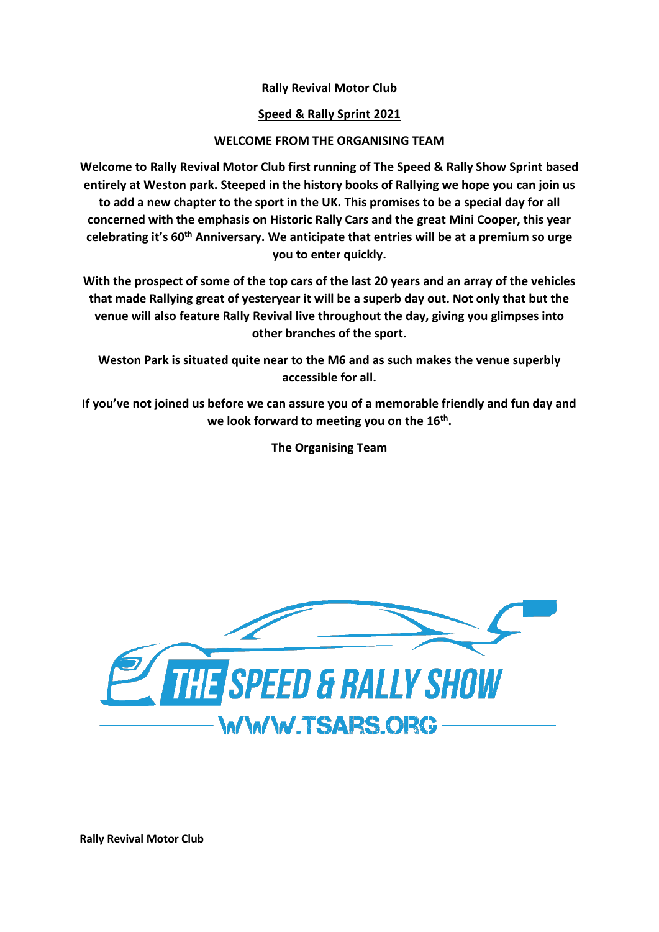# **Rally Revival Motor Club**

# **Speed & Rally Sprint 2021**

# **WELCOME FROM THE ORGANISING TEAM**

**Welcome to Rally Revival Motor Club first running of The Speed & Rally Show Sprint based entirely at Weston park. Steeped in the history books of Rallying we hope you can join us to add a new chapter to the sport in the UK. This promises to be a special day for all concerned with the emphasis on Historic Rally Cars and the great Mini Cooper, this year celebrating it's 60th Anniversary. We anticipate that entries will be at a premium so urge you to enter quickly.**

**With the prospect of some of the top cars of the last 20 years and an array of the vehicles that made Rallying great of yesteryear it will be a superb day out. Not only that but the venue will also feature Rally Revival live throughout the day, giving you glimpses into other branches of the sport.** 

**Weston Park is situated quite near to the M6 and as such makes the venue superbly accessible for all.**

**If you've not joined us before we can assure you of a memorable friendly and fun day and we look forward to meeting you on the 16th .**

**The Organising Team**



**Rally Revival Motor Club**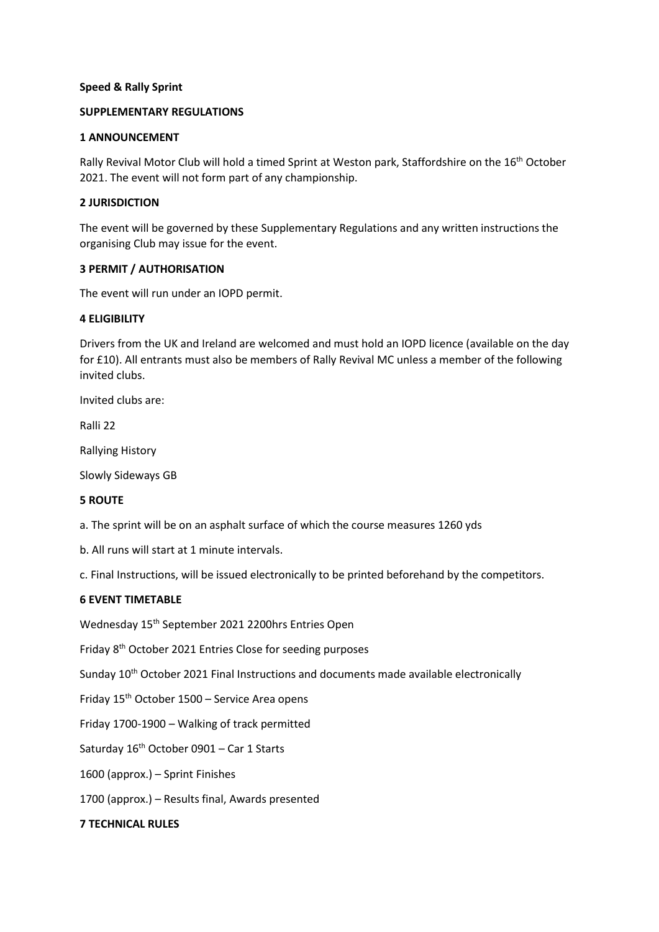# **Speed & Rally Sprint**

# **SUPPLEMENTARY REGULATIONS**

#### **1 ANNOUNCEMENT**

Rally Revival Motor Club will hold a timed Sprint at Weston park, Staffordshire on the 16<sup>th</sup> October 2021. The event will not form part of any championship.

### **2 JURISDICTION**

The event will be governed by these Supplementary Regulations and any written instructions the organising Club may issue for the event.

#### **3 PERMIT / AUTHORISATION**

The event will run under an IOPD permit.

#### **4 ELIGIBILITY**

Drivers from the UK and Ireland are welcomed and must hold an IOPD licence (available on the day for £10). All entrants must also be members of Rally Revival MC unless a member of the following invited clubs.

Invited clubs are:

Ralli 22

Rallying History

Slowly Sideways GB

#### **5 ROUTE**

a. The sprint will be on an asphalt surface of which the course measures 1260 yds

b. All runs will start at 1 minute intervals.

c. Final Instructions, will be issued electronically to be printed beforehand by the competitors.

#### **6 EVENT TIMETABLE**

Wednesday 15th September 2021 2200hrs Entries Open

Friday 8<sup>th</sup> October 2021 Entries Close for seeding purposes

Sunday 10<sup>th</sup> October 2021 Final Instructions and documents made available electronically

Friday 15<sup>th</sup> October 1500 - Service Area opens

Friday 1700-1900 – Walking of track permitted

Saturday  $16^{th}$  October 0901 – Car 1 Starts

1600 (approx.) – Sprint Finishes

1700 (approx.) – Results final, Awards presented

# **7 TECHNICAL RULES**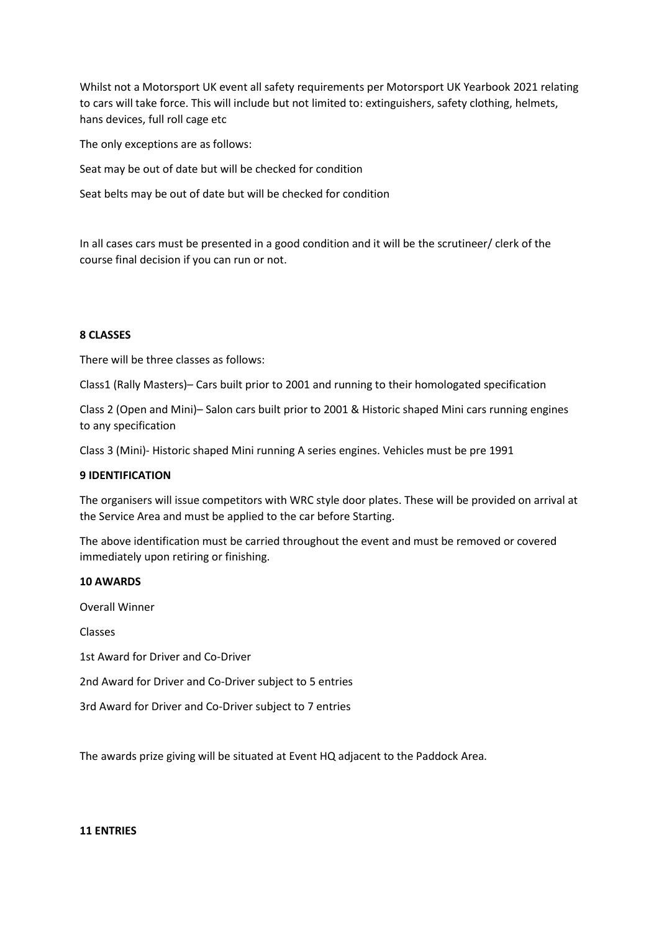Whilst not a Motorsport UK event all safety requirements per Motorsport UK Yearbook 2021 relating to cars will take force. This will include but not limited to: extinguishers, safety clothing, helmets, hans devices, full roll cage etc

The only exceptions are as follows:

Seat may be out of date but will be checked for condition

Seat belts may be out of date but will be checked for condition

In all cases cars must be presented in a good condition and it will be the scrutineer/ clerk of the course final decision if you can run or not.

# **8 CLASSES**

There will be three classes as follows:

Class1 (Rally Masters)– Cars built prior to 2001 and running to their homologated specification

Class 2 (Open and Mini)– Salon cars built prior to 2001 & Historic shaped Mini cars running engines to any specification

Class 3 (Mini)- Historic shaped Mini running A series engines. Vehicles must be pre 1991

# **9 IDENTIFICATION**

The organisers will issue competitors with WRC style door plates. These will be provided on arrival at the Service Area and must be applied to the car before Starting.

The above identification must be carried throughout the event and must be removed or covered immediately upon retiring or finishing.

# **10 AWARDS**

Overall Winner

Classes

1st Award for Driver and Co-Driver

2nd Award for Driver and Co-Driver subject to 5 entries

3rd Award for Driver and Co-Driver subject to 7 entries

The awards prize giving will be situated at Event HQ adjacent to the Paddock Area.

# **11 ENTRIES**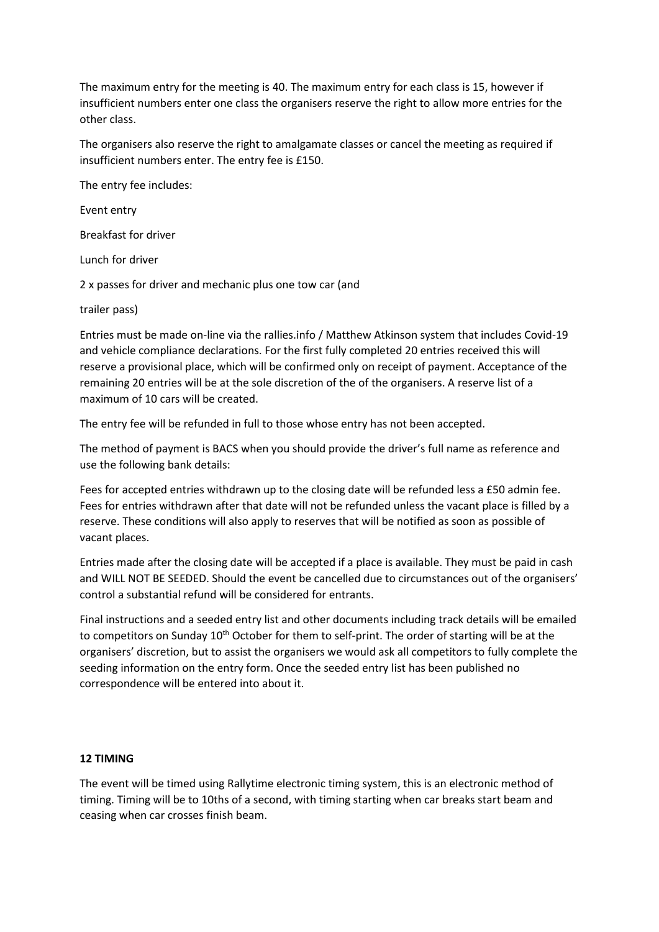The maximum entry for the meeting is 40. The maximum entry for each class is 15, however if insufficient numbers enter one class the organisers reserve the right to allow more entries for the other class.

The organisers also reserve the right to amalgamate classes or cancel the meeting as required if insufficient numbers enter. The entry fee is £150.

The entry fee includes:

Event entry

Breakfast for driver

Lunch for driver

2 x passes for driver and mechanic plus one tow car (and

trailer pass)

Entries must be made on-line via the rallies.info / Matthew Atkinson system that includes Covid-19 and vehicle compliance declarations. For the first fully completed 20 entries received this will reserve a provisional place, which will be confirmed only on receipt of payment. Acceptance of the remaining 20 entries will be at the sole discretion of the of the organisers. A reserve list of a maximum of 10 cars will be created.

The entry fee will be refunded in full to those whose entry has not been accepted.

The method of payment is BACS when you should provide the driver's full name as reference and use the following bank details:

Fees for accepted entries withdrawn up to the closing date will be refunded less a £50 admin fee. Fees for entries withdrawn after that date will not be refunded unless the vacant place is filled by a reserve. These conditions will also apply to reserves that will be notified as soon as possible of vacant places.

Entries made after the closing date will be accepted if a place is available. They must be paid in cash and WILL NOT BE SEEDED. Should the event be cancelled due to circumstances out of the organisers' control a substantial refund will be considered for entrants.

Final instructions and a seeded entry list and other documents including track details will be emailed to competitors on Sunday 10<sup>th</sup> October for them to self-print. The order of starting will be at the organisers' discretion, but to assist the organisers we would ask all competitors to fully complete the seeding information on the entry form. Once the seeded entry list has been published no correspondence will be entered into about it.

# **12 TIMING**

The event will be timed using Rallytime electronic timing system, this is an electronic method of timing. Timing will be to 10ths of a second, with timing starting when car breaks start beam and ceasing when car crosses finish beam.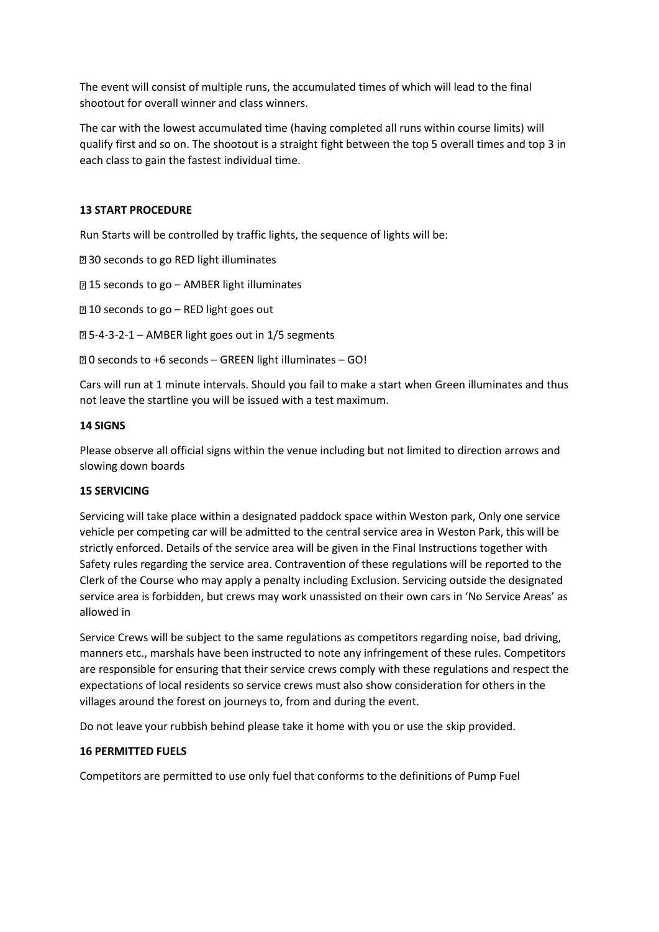The event will consist of multiple runs, the accumulated times of which will lead to the final shootout for overall winner and class winners.

The car with the lowest accumulated time (having completed all runs within course limits) will qualify first and so on. The shootout is a straight fight between the top 5 overall times and top 3 in each class to gain the fastest individual time.

# **13 START PROCEDURE**

Run Starts will be controlled by traffic lights, the sequence of lights will be:

**230 seconds to go RED light illuminates** 

15 seconds to go – AMBER light illuminates

■10 seconds to go – RED light goes out

5-4-3-2-1 – AMBER light goes out in 1/5 segments

0 seconds to +6 seconds – GREEN light illuminates – GO!

Cars will run at 1 minute intervals. Should you fail to make a start when Green illuminates and thus not leave the startline you will be issued with a test maximum.

# **14 SIGNS**

Please observe all official signs within the venue including but not limited to direction arrows and slowing down boards

# **15 SERVICING**

Servicing will take place within a designated paddock space within Weston park, Only one service vehicle per competing car will be admitted to the central service area in Weston Park, this will be strictly enforced. Details of the service area will be given in the Final Instructions together with Safety rules regarding the service area. Contravention of these regulations will be reported to the Clerk of the Course who may apply a penalty including Exclusion. Servicing outside the designated service area is forbidden, but crews may work unassisted on their own cars in 'No Service Areas' as allowed in

Service Crews will be subject to the same regulations as competitors regarding noise, bad driving, manners etc., marshals have been instructed to note any infringement of these rules. Competitors are responsible for ensuring that their service crews comply with these regulations and respect the expectations of local residents so service crews must also show consideration for others in the villages around the forest on journeys to, from and during the event.

Do not leave your rubbish behind please take it home with you or use the skip provided.

# **16 PERMITTED FUELS**

Competitors are permitted to use only fuel that conforms to the definitions of Pump Fuel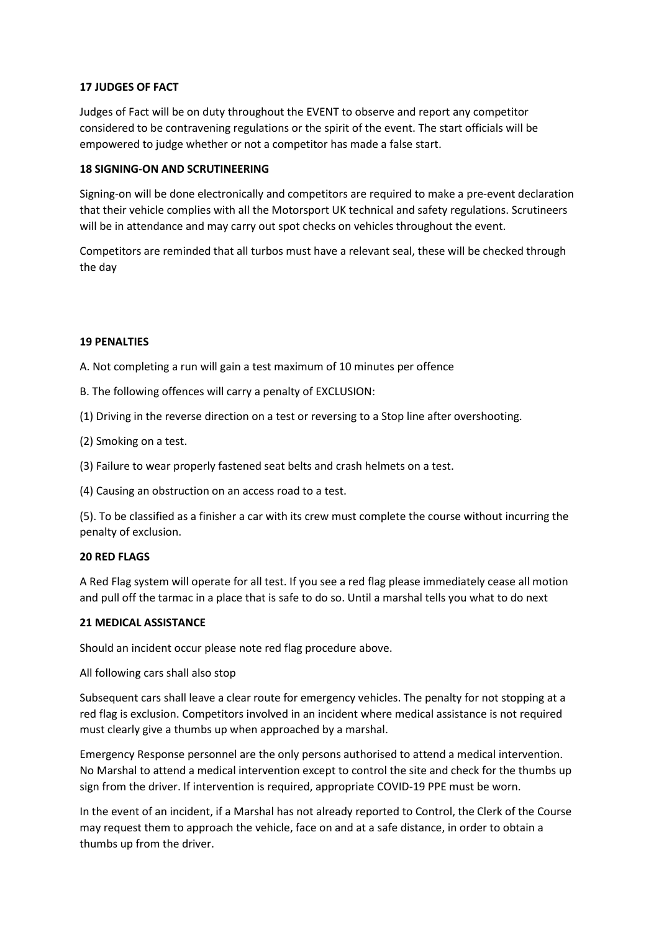# **17 JUDGES OF FACT**

Judges of Fact will be on duty throughout the EVENT to observe and report any competitor considered to be contravening regulations or the spirit of the event. The start officials will be empowered to judge whether or not a competitor has made a false start.

# **18 SIGNING-ON AND SCRUTINEERING**

Signing-on will be done electronically and competitors are required to make a pre-event declaration that their vehicle complies with all the Motorsport UK technical and safety regulations. Scrutineers will be in attendance and may carry out spot checks on vehicles throughout the event.

Competitors are reminded that all turbos must have a relevant seal, these will be checked through the day

#### **19 PENALTIES**

A. Not completing a run will gain a test maximum of 10 minutes per offence

B. The following offences will carry a penalty of EXCLUSION:

(1) Driving in the reverse direction on a test or reversing to a Stop line after overshooting.

(2) Smoking on a test.

(3) Failure to wear properly fastened seat belts and crash helmets on a test.

(4) Causing an obstruction on an access road to a test.

(5). To be classified as a finisher a car with its crew must complete the course without incurring the penalty of exclusion.

# **20 RED FLAGS**

A Red Flag system will operate for all test. If you see a red flag please immediately cease all motion and pull off the tarmac in a place that is safe to do so. Until a marshal tells you what to do next

# **21 MEDICAL ASSISTANCE**

Should an incident occur please note red flag procedure above.

All following cars shall also stop

Subsequent cars shall leave a clear route for emergency vehicles. The penalty for not stopping at a red flag is exclusion. Competitors involved in an incident where medical assistance is not required must clearly give a thumbs up when approached by a marshal.

Emergency Response personnel are the only persons authorised to attend a medical intervention. No Marshal to attend a medical intervention except to control the site and check for the thumbs up sign from the driver. If intervention is required, appropriate COVID-19 PPE must be worn.

In the event of an incident, if a Marshal has not already reported to Control, the Clerk of the Course may request them to approach the vehicle, face on and at a safe distance, in order to obtain a thumbs up from the driver.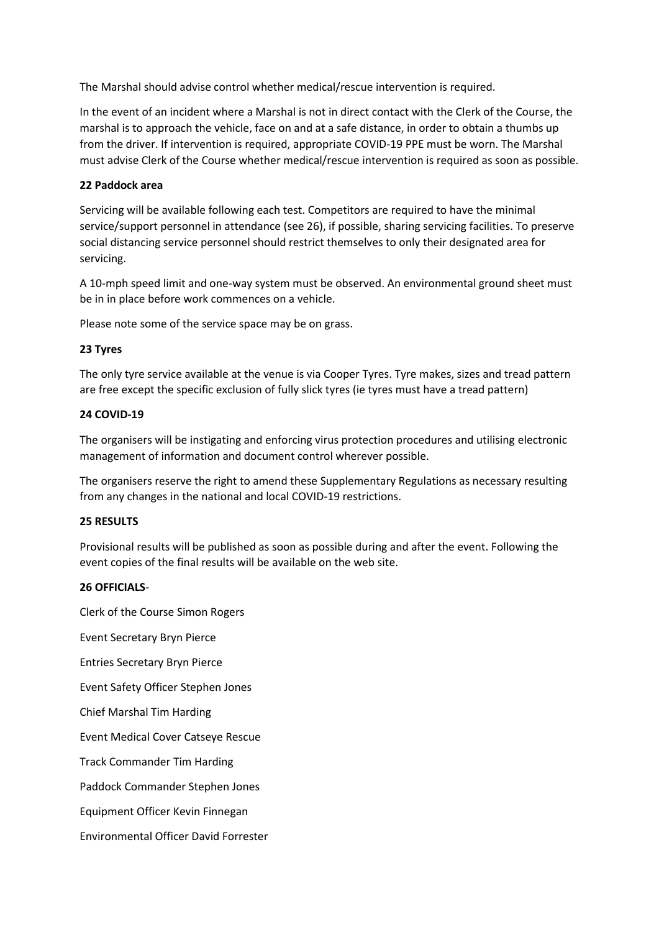The Marshal should advise control whether medical/rescue intervention is required.

In the event of an incident where a Marshal is not in direct contact with the Clerk of the Course, the marshal is to approach the vehicle, face on and at a safe distance, in order to obtain a thumbs up from the driver. If intervention is required, appropriate COVID-19 PPE must be worn. The Marshal must advise Clerk of the Course whether medical/rescue intervention is required as soon as possible.

# **22 Paddock area**

Servicing will be available following each test. Competitors are required to have the minimal service/support personnel in attendance (see 26), if possible, sharing servicing facilities. To preserve social distancing service personnel should restrict themselves to only their designated area for servicing.

A 10-mph speed limit and one-way system must be observed. An environmental ground sheet must be in in place before work commences on a vehicle.

Please note some of the service space may be on grass.

# **23 Tyres**

The only tyre service available at the venue is via Cooper Tyres. Tyre makes, sizes and tread pattern are free except the specific exclusion of fully slick tyres (ie tyres must have a tread pattern)

# **24 COVID-19**

The organisers will be instigating and enforcing virus protection procedures and utilising electronic management of information and document control wherever possible.

The organisers reserve the right to amend these Supplementary Regulations as necessary resulting from any changes in the national and local COVID-19 restrictions.

# **25 RESULTS**

Provisional results will be published as soon as possible during and after the event. Following the event copies of the final results will be available on the web site.

# **26 OFFICIALS**-

Clerk of the Course Simon Rogers Event Secretary Bryn Pierce Entries Secretary Bryn Pierce Event Safety Officer Stephen Jones Chief Marshal Tim Harding Event Medical Cover Catseye Rescue Track Commander Tim Harding Paddock Commander Stephen Jones Equipment Officer Kevin Finnegan Environmental Officer David Forrester